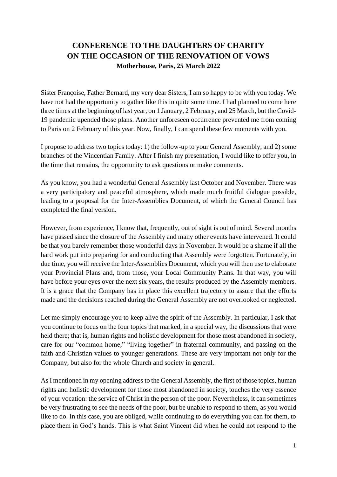## **CONFERENCE TO THE DAUGHTERS OF CHARITY ON THE OCCASION OF THE RENOVATION OF VOWS Motherhouse, Paris, 25 March 2022**

Sister Françoise, Father Bernard, my very dear Sisters, I am so happy to be with you today. We have not had the opportunity to gather like this in quite some time. I had planned to come here three times at the beginning of last year, on 1 January, 2 February, and 25 March, but the Covid-19 pandemic upended those plans. Another unforeseen occurrence prevented me from coming to Paris on 2 February of this year. Now, finally, I can spend these few moments with you.

I propose to address two topics today: 1) the follow-up to your General Assembly, and 2) some branches of the Vincentian Family. After I finish my presentation, I would like to offer you, in the time that remains, the opportunity to ask questions or make comments.

As you know, you had a wonderful General Assembly last October and November. There was a very participatory and peaceful atmosphere, which made much fruitful dialogue possible, leading to a proposal for the Inter-Assemblies Document, of which the General Council has completed the final version.

However, from experience, I know that, frequently, out of sight is out of mind. Several months have passed since the closure of the Assembly and many other events have intervened. It could be that you barely remember those wonderful days in November. It would be a shame if all the hard work put into preparing for and conducting that Assembly were forgotten. Fortunately, in due time, you will receive the Inter-Assemblies Document, which you will then use to elaborate your Provincial Plans and, from those, your Local Community Plans. In that way, you will have before your eyes over the next six years, the results produced by the Assembly members. It is a grace that the Company has in place this excellent trajectory to assure that the efforts made and the decisions reached during the General Assembly are not overlooked or neglected.

Let me simply encourage you to keep alive the spirit of the Assembly. In particular, I ask that you continue to focus on the four topics that marked, in a special way, the discussions that were held there; that is, human rights and holistic development for those most abandoned in society, care for our "common home," "living together" in fraternal community, and passing on the faith and Christian values to younger generations. These are very important not only for the Company, but also for the whole Church and society in general.

As I mentioned in my opening address to the General Assembly, the first of those topics, human rights and holistic development for those most abandoned in society, touches the very essence of your vocation: the service of Christ in the person of the poor. Nevertheless, it can sometimes be very frustrating to see the needs of the poor, but be unable to respond to them, as you would like to do. In this case, you are obliged, while continuing to do everything you can for them, to place them in God's hands. This is what Saint Vincent did when he could not respond to the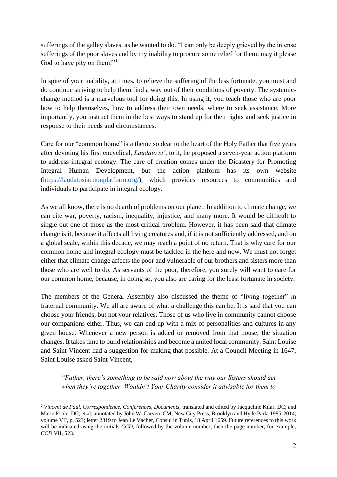sufferings of the galley slaves, as he wanted to do. "I can only be deeply grieved by the intense sufferings of the poor slaves and by my inability to procure some relief for them; may it please God to have pity on them!"<sup>1</sup>

In spite of your inability, at times, to relieve the suffering of the less fortunate, you must and do continue striving to help them find a way out of their conditions of poverty. The systemicchange method is a marvelous tool for doing this. In using it, you teach those who are poor how to help themselves, how to address their own needs, where to seek assistance. More importantly, you instruct them in the best ways to stand up for their rights and seek justice in response to their needs and circumstances.

Care for our "common home" is a theme so dear to the heart of the Holy Father that five years after devoting his first encyclical, *Laudato si'*, to it, he proposed a seven-year action platform to address integral ecology. The care of creation comes under the Dicastery for Promoting Integral Human Development, but the action platform has its own website [\(https://laudatosiactionplatform.org/\)](https://laudatosiactionplatform.org/), which provides resources to communities and individuals to participate in integral ecology.

As we all know, there is no dearth of problems on our planet. In addition to climate change, we can cite war, poverty, racism, inequality, injustice, and many more. It would be difficult to single out one of those as the most critical problem. However, it has been said that climate change is it, because it affects all living creatures and, if it is not sufficiently addressed, and on a global scale, within this decade, we may reach a point of no return. That is why care for our common home and integral ecology must be tackled in the here and now. We must not forget either that climate change affects the poor and vulnerable of our brothers and sisters more than those who are well to do. As servants of the poor, therefore, you surely will want to care for our common home, because, in doing so, you also are caring for the least fortunate in society.

The members of the General Assembly also discussed the theme of "living together" in fraternal community. We all are aware of what a challenge this can be. It is said that you can choose your friends, but not your relatives. Those of us who live in community cannot choose our companions either. Thus, we can end up with a mix of personalities and cultures in any given house. Whenever a new person is added or removed from that house, the situation changes. It takes time to build relationships and become a united local community. Saint Louise and Saint Vincent had a suggestion for making that possible. At a Council Meeting in 1647, Saint Louise asked Saint Vincent,

*"Father, there's something to be said now about the way our Sisters should act when they're together. Wouldn't Your Charity consider it advisable for them to* 

<sup>1</sup> *Vincent de Paul, Correspondence, Conferences, Documents*, translated and edited by Jacqueline Kilar, DC; and Marie Poole, DC; et al; annotated by John W. Carven, CM; New City Press, Brooklyn and Hyde Park, 1985-2014; volume VII, p. 523; letter 2819 to Jean Le Vacher, Consul in Tunis, 18 April 1659. Future references to this work will be indicated using the initials *CCD*, followed by the volume number, then the page number, for example, *CCD* VII, 523.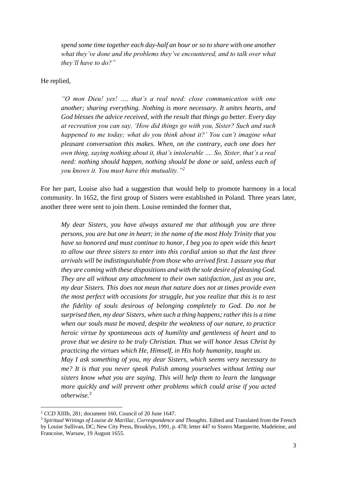*spend some time together each day-half an hour or so to share with one another what they've done and the problems they've encountered, and to talk over what they'll have to do?"*

He replied,

*"O mon Dieu! yes! …, that's a real need: close communication with one another; sharing everything. Nothing is more necessary. It unites hearts, and God blesses the advice received, with the result that things go better. Every day at recreation you can say, 'How did things go with you, Sister? Such and such happened to me today; what do you think about it?' You can't imagine what pleasant conversation this makes. When, on the contrary, each one does her own thing, saying nothing about it, that's intolerable …. So, Sister, that's a real need: nothing should happen, nothing should be done or said, unless each of you knows it. You must have this mutuality."<sup>2</sup>*

For her part, Louise also had a suggestion that would help to promote harmony in a local community. In 1652, the first group of Sisters were established in Poland. Three years later, another three were sent to join them. Louise reminded the former that,

*My dear Sisters, you have always assured me that although you are three persons, you are but one in heart; in the name of the most Holy Trinity that you have so honored and must continue to honor, I beg you to open wide this heart to allow our three sisters to enter into this cordial union so that the last three arrivals will be indistinguishable from those who arrived first. I assure you that they are coming with these dispositions and with the sole desire of pleasing God. They are all without any attachment to their own satisfaction, just as you are, my dear Sisters. This does not mean that nature does not at times provide even the most perfect with occasions for struggle, but you realize that this is to test the fidelity of souls desirous of belonging completely to God. Do not be surprised then, my dear Sisters, when such a thing happens; rather this is a time when our souls must be moved, despite the weakness of our nature, to practice heroic virtue by spontaneous acts of humility and gentleness of heart and to prove that we desire to be truly Christian. Thus we will honor Jesus Christ by practicing the virtues which He, Himself, in His holy humanity, taught us. May I ask something of you, my dear Sisters, which seems very necessary to me? It is that you never speak Polish among yourselves without letting our sisters know what you are saying. This will help them to learn the language more quickly and will prevent other problems which could arise if you acted* 

*otherwise.<sup>3</sup>*

<sup>2</sup> *CCD* XIIIb, 281; document 160, Council of 20 June 1647.

<sup>3</sup> *Spiritual Writings of Louise de Marillac, Correspondence and Thoughts*. Edited and Translated from the French by Louise Sullivan, DC; New City Press, Brooklyn, 1991, p. 478; letter 447 to Sisters Marguerite, Madeleine, and Francoise, Warsaw, 19 August 1655.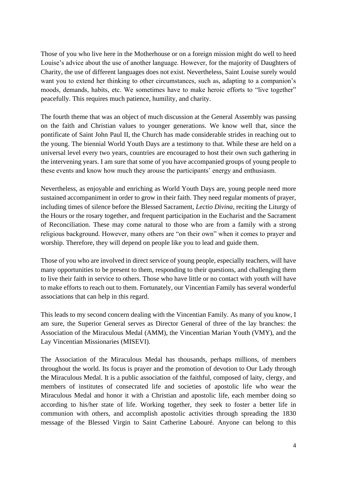Those of you who live here in the Motherhouse or on a foreign mission might do well to heed Louise's advice about the use of another language. However, for the majority of Daughters of Charity, the use of different languages does not exist. Nevertheless, Saint Louise surely would want you to extend her thinking to other circumstances, such as, adapting to a companion's moods, demands, habits, etc. We sometimes have to make heroic efforts to "live together" peacefully. This requires much patience, humility, and charity.

The fourth theme that was an object of much discussion at the General Assembly was passing on the faith and Christian values to younger generations. We know well that, since the pontificate of Saint John Paul II, the Church has made considerable strides in reaching out to the young. The biennial World Youth Days are a testimony to that. While these are held on a universal level every two years, countries are encouraged to host their own such gathering in the intervening years. I am sure that some of you have accompanied groups of young people to these events and know how much they arouse the participants' energy and enthusiasm.

Nevertheless, as enjoyable and enriching as World Youth Days are, young people need more sustained accompaniment in order to grow in their faith. They need regular moments of prayer, including times of silence before the Blessed Sacrament, *Lectio Divina*, reciting the Liturgy of the Hours or the rosary together, and frequent participation in the Eucharist and the Sacrament of Reconciliation. These may come natural to those who are from a family with a strong religious background. However, many others are "on their own" when it comes to prayer and worship. Therefore, they will depend on people like you to lead and guide them.

Those of you who are involved in direct service of young people, especially teachers, will have many opportunities to be present to them, responding to their questions, and challenging them to live their faith in service to others. Those who have little or no contact with youth will have to make efforts to reach out to them. Fortunately, our Vincentian Family has several wonderful associations that can help in this regard.

This leads to my second concern dealing with the Vincentian Family. As many of you know, I am sure, the Superior General serves as Director General of three of the lay branches: the Association of the Miraculous Medal (AMM), the Vincentian Marian Youth (VMY), and the Lay Vincentian Missionaries (MISEVI).

The Association of the Miraculous Medal has thousands, perhaps millions, of members throughout the world. Its focus is prayer and the promotion of devotion to Our Lady through the Miraculous Medal. It is a public association of the faithful, composed of laity, clergy, and members of institutes of consecrated life and societies of apostolic life who wear the Miraculous Medal and honor it with a Christian and apostolic life, each member doing so according to his/her state of life. Working together, they seek to foster a better life in communion with others, and accomplish apostolic activities through spreading the 1830 message of the Blessed Virgin to Saint Catherine Labouré. Anyone can belong to this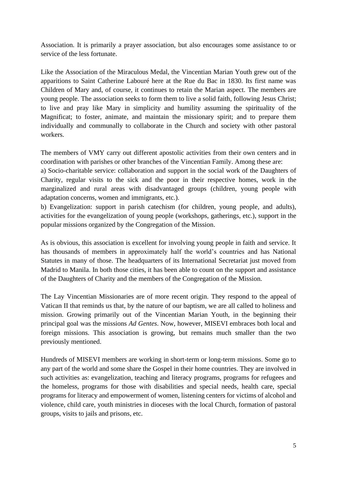Association. It is primarily a prayer association, but also encourages some assistance to or service of the less fortunate.

Like the Association of the Miraculous Medal, the Vincentian Marian Youth grew out of the apparitions to Saint Catherine Labouré here at the Rue du Bac in 1830. Its first name was Children of Mary and, of course, it continues to retain the Marian aspect. The members are young people. The association seeks to form them to live a solid faith, following Jesus Christ; to live and pray like Mary in simplicity and humility assuming the spirituality of the Magnificat; to foster, animate, and maintain the missionary spirit; and to prepare them individually and communally to collaborate in the Church and society with other pastoral workers.

The members of VMY carry out different apostolic activities from their own centers and in coordination with parishes or other branches of the Vincentian Family. Among these are:

a) Socio-charitable service: collaboration and support in the social work of the Daughters of Charity, regular visits to the sick and the poor in their respective homes, work in the marginalized and rural areas with disadvantaged groups (children, young people with adaptation concerns, women and immigrants, etc.).

b) Evangelization: support in parish catechism (for children, young people, and adults), activities for the evangelization of young people (workshops, gatherings, etc.), support in the popular missions organized by the Congregation of the Mission.

As is obvious, this association is excellent for involving young people in faith and service. It has thousands of members in approximately half the world's countries and has National Statutes in many of those. The headquarters of its International Secretariat just moved from Madrid to Manila. In both those cities, it has been able to count on the support and assistance of the Daughters of Charity and the members of the Congregation of the Mission.

The Lay Vincentian Missionaries are of more recent origin. They respond to the appeal of Vatican II that reminds us that, by the nature of our baptism, we are all called to holiness and mission. Growing primarily out of the Vincentian Marian Youth, in the beginning their principal goal was the missions *Ad Gentes*. Now, however, MISEVI embraces both local and foreign missions. This association is growing, but remains much smaller than the two previously mentioned.

Hundreds of MISEVI members are working in short-term or long-term missions. Some go to any part of the world and some share the Gospel in their home countries. They are involved in such activities as: evangelization, teaching and literacy programs, programs for refugees and the homeless, programs for those with disabilities and special needs, health care, special programs for literacy and empowerment of women, listening centers for victims of alcohol and violence, child care, youth ministries in dioceses with the local Church, formation of pastoral groups, visits to jails and prisons, etc.